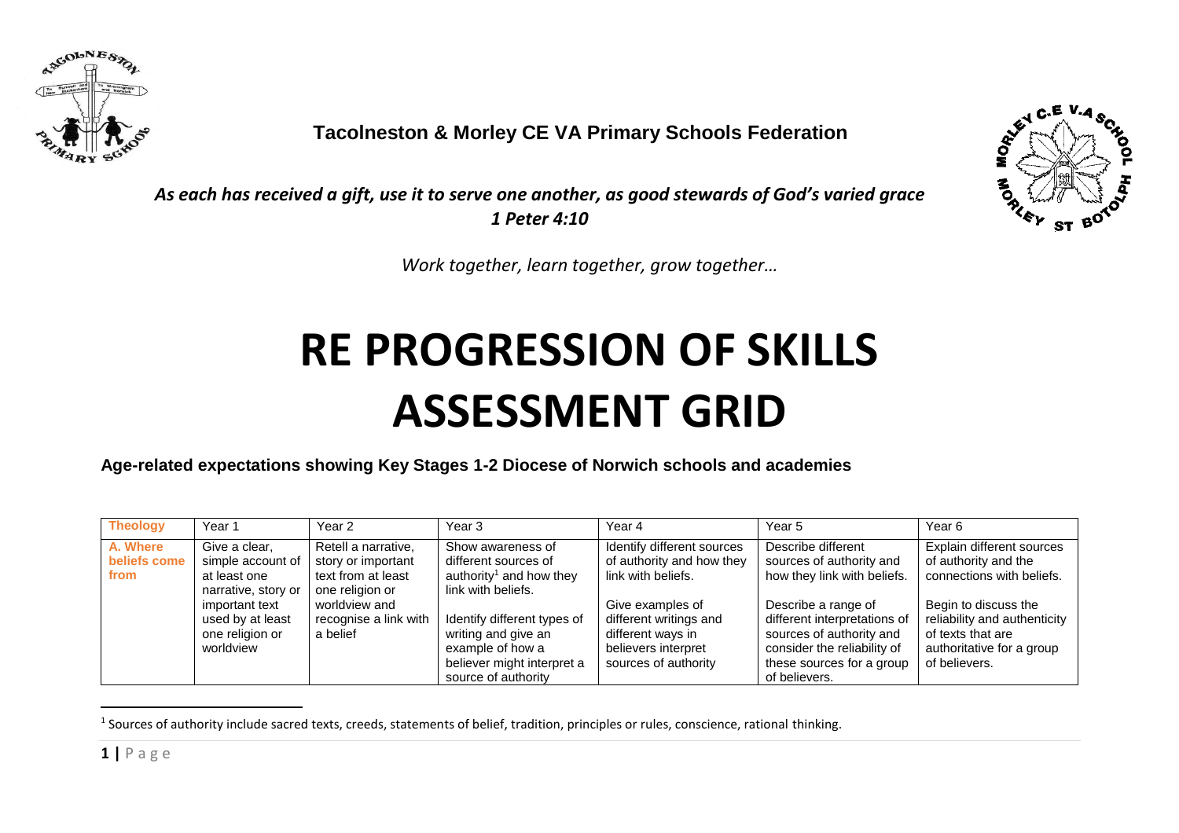

 **Tacolneston & Morley CE VA Primary Schools Federation**



*As each has received a gift, use it to serve one another, as good stewards of God's varied grace 1 Peter 4:10*

*Work together, learn together, grow together…*

## **RE PROGRESSION OF SKILLS ASSESSMENT GRID**

**Age-related expectations showing Key Stages 1-2 Diocese of Norwich schools and academies**

| <b>Theology</b>                  | Year 1                                                                    | Year 2                                                                             | Year 3                                                                                                                      | Year 4                                                                                                         | Year 5                                                                                                                                                       | Year 6                                                                                                                  |
|----------------------------------|---------------------------------------------------------------------------|------------------------------------------------------------------------------------|-----------------------------------------------------------------------------------------------------------------------------|----------------------------------------------------------------------------------------------------------------|--------------------------------------------------------------------------------------------------------------------------------------------------------------|-------------------------------------------------------------------------------------------------------------------------|
| A. Where<br>beliefs come<br>from | Give a clear,<br>simple account of<br>at least one<br>narrative, story or | Retell a narrative,<br>story or important<br>text from at least<br>one religion or | Show awareness of<br>different sources of<br>authority <sup>1</sup> and how they<br>link with beliefs.                      | Identify different sources<br>of authority and how they<br>link with beliefs.                                  | Describe different<br>sources of authority and<br>how they link with beliefs.                                                                                | Explain different sources<br>of authority and the<br>connections with beliefs.                                          |
|                                  | important text<br>used by at least<br>one religion or<br>worldview        | worldview and<br>recognise a link with<br>a belief                                 | Identify different types of<br>writing and give an<br>example of how a<br>believer might interpret a<br>source of authority | Give examples of<br>different writings and<br>different ways in<br>believers interpret<br>sources of authority | Describe a range of<br>different interpretations of<br>sources of authority and<br>consider the reliability of<br>these sources for a group<br>of believers. | Begin to discuss the<br>reliability and authenticity<br>of texts that are<br>authoritative for a group<br>of believers. |

 $<sup>1</sup>$  Sources of authority include sacred texts, creeds, statements of belief, tradition, principles or rules, conscience, rational thinking.</sup>

-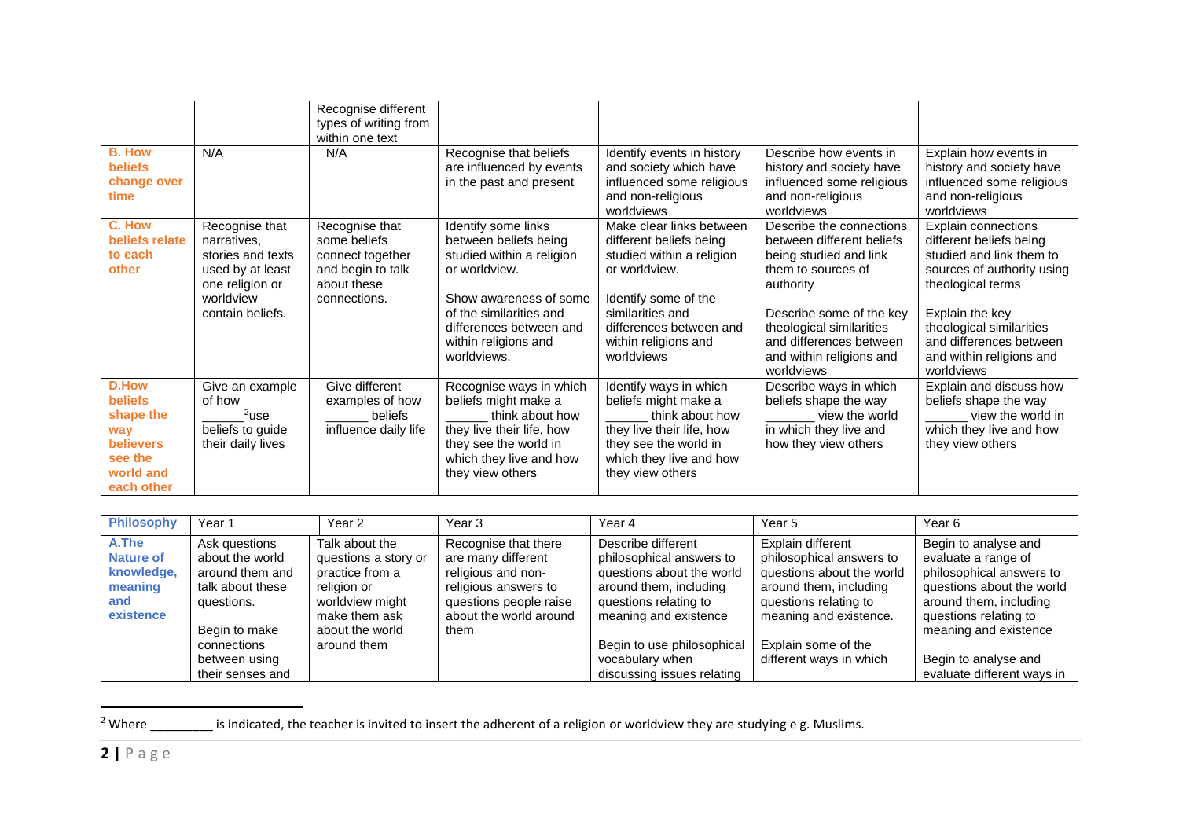|                                                                                                              |                                                                                                                            | Recognise different<br>types of writing from<br>within one text                                        |                                                                                                                                                                                                                   |                                                                                                                                                                                                                |                                                                                                                                                                                                                                                 |                                                                                                                                                                                                                                                   |
|--------------------------------------------------------------------------------------------------------------|----------------------------------------------------------------------------------------------------------------------------|--------------------------------------------------------------------------------------------------------|-------------------------------------------------------------------------------------------------------------------------------------------------------------------------------------------------------------------|----------------------------------------------------------------------------------------------------------------------------------------------------------------------------------------------------------------|-------------------------------------------------------------------------------------------------------------------------------------------------------------------------------------------------------------------------------------------------|---------------------------------------------------------------------------------------------------------------------------------------------------------------------------------------------------------------------------------------------------|
| <b>B. How</b><br><b>beliefs</b><br>change over<br>time                                                       | N/A                                                                                                                        | N/A                                                                                                    | Recognise that beliefs<br>are influenced by events<br>in the past and present                                                                                                                                     | Identify events in history<br>and society which have<br>influenced some religious<br>and non-religious<br>worldviews                                                                                           | Describe how events in<br>history and society have<br>influenced some religious<br>and non-religious<br>worldviews                                                                                                                              | Explain how events in<br>history and society have<br>influenced some religious<br>and non-religious<br>worldviews                                                                                                                                 |
| C. How<br>beliefs relate<br>to each<br>other                                                                 | Recognise that<br>narratives,<br>stories and texts<br>used by at least<br>one religion or<br>worldview<br>contain beliefs. | Recognise that<br>some beliefs<br>connect together<br>and begin to talk<br>about these<br>connections. | Identify some links<br>between beliefs being<br>studied within a religion<br>or worldview.<br>Show awareness of some<br>of the similarities and<br>differences between and<br>within religions and<br>worldviews. | Make clear links between<br>different beliefs being<br>studied within a religion<br>or worldview.<br>Identify some of the<br>similarities and<br>differences between and<br>within religions and<br>worldviews | Describe the connections<br>between different beliefs<br>being studied and link<br>them to sources of<br>authority<br>Describe some of the key<br>theological similarities<br>and differences between<br>and within religions and<br>worldviews | Explain connections<br>different beliefs being<br>studied and link them to<br>sources of authority using<br>theological terms<br>Explain the key<br>theological similarities<br>and differences between<br>and within religions and<br>worldviews |
| <b>D.How</b><br><b>beliefs</b><br>shape the<br>way<br><b>believers</b><br>see the<br>world and<br>each other | Give an example<br>of how<br>$2$ use<br>beliefs to guide<br>their daily lives                                              | Give different<br>examples of how<br>beliefs<br>influence daily life                                   | Recognise ways in which<br>beliefs might make a<br>think about how<br>they live their life, how<br>they see the world in<br>which they live and how<br>they view others                                           | Identify ways in which<br>beliefs might make a<br>think about how<br>they live their life, how<br>they see the world in<br>which they live and how<br>they view others                                         | Describe ways in which<br>beliefs shape the way<br>view the world<br>in which they live and<br>how they view others                                                                                                                             | Explain and discuss how<br>beliefs shape the way<br>view the world in<br>which they live and how<br>they view others                                                                                                                              |

| <b>Philosophy</b>                                                      | Year <sub>1</sub>                                                                                                                                          | Year 2                                                                                                                                         | Year 3                                                                                                                                               | Year 4                                                                                                                                                                                                                                 | Year 5                                                                                                                                                                                                    | Year 6                                                                                                                                                                                                                                 |
|------------------------------------------------------------------------|------------------------------------------------------------------------------------------------------------------------------------------------------------|------------------------------------------------------------------------------------------------------------------------------------------------|------------------------------------------------------------------------------------------------------------------------------------------------------|----------------------------------------------------------------------------------------------------------------------------------------------------------------------------------------------------------------------------------------|-----------------------------------------------------------------------------------------------------------------------------------------------------------------------------------------------------------|----------------------------------------------------------------------------------------------------------------------------------------------------------------------------------------------------------------------------------------|
| A.The<br><b>Nature of</b><br>knowledge,<br>meaning<br>and<br>existence | Ask questions<br>about the world<br>around them and<br>talk about these<br>questions.<br>Begin to make<br>connections<br>between using<br>their senses and | Talk about the<br>questions a story or<br>practice from a<br>religion or<br>worldview might<br>make them ask<br>about the world<br>around them | Recognise that there<br>are many different<br>religious and non-<br>religious answers to<br>questions people raise<br>about the world around<br>them | Describe different<br>philosophical answers to<br>questions about the world<br>around them, including<br>questions relating to<br>meaning and existence<br>Begin to use philosophical<br>vocabulary when<br>discussing issues relating | Explain different<br>philosophical answers to<br>questions about the world<br>around them, including<br>questions relating to<br>meaning and existence.<br>Explain some of the<br>different ways in which | Begin to analyse and<br>evaluate a range of<br>philosophical answers to<br>questions about the world<br>around them, including<br>questions relating to<br>meaning and existence<br>Begin to analyse and<br>evaluate different ways in |

-

<sup>2</sup> Where  $\frac{1}{2}$  is indicated, the teacher is invited to insert the adherent of a religion or worldview they are studying e g. Muslims.

**2 |** P a g e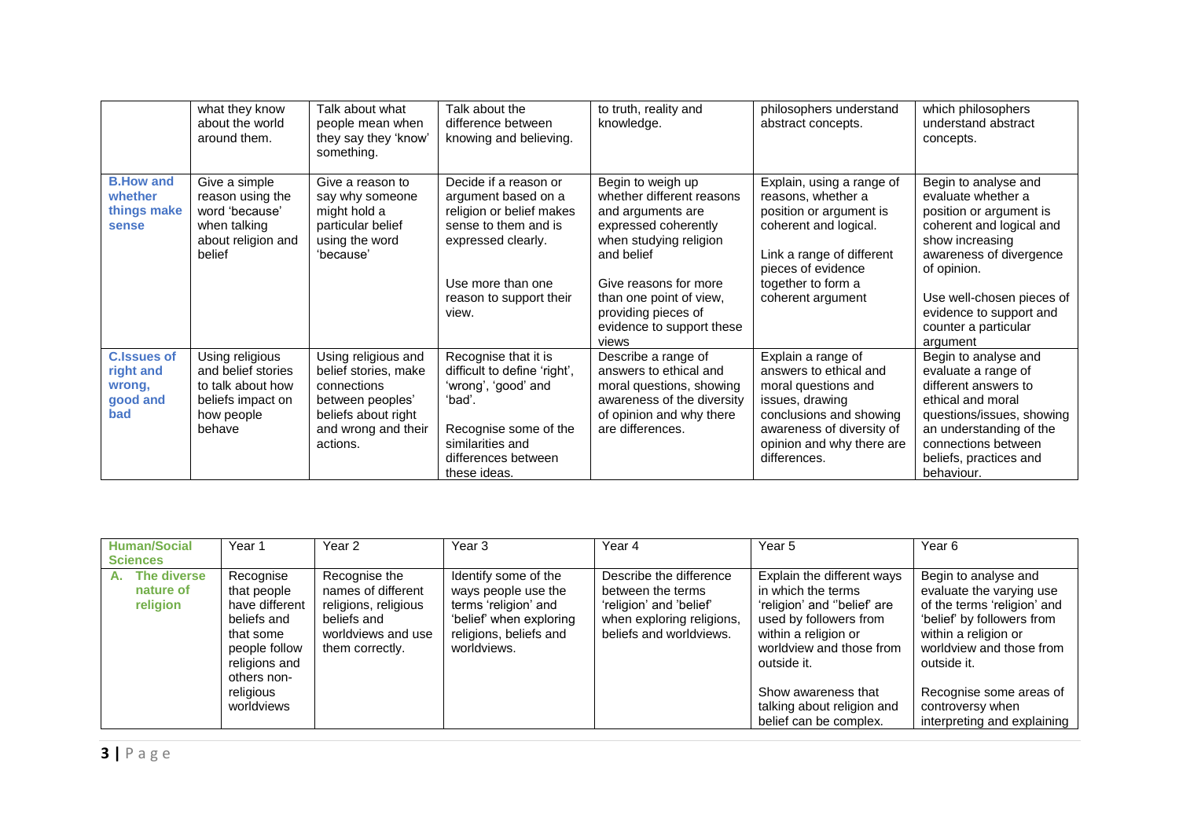|                                                              | what they know<br>about the world<br>around them.                                                       | Talk about what<br>people mean when<br>they say they 'know'<br>something.                                                                | Talk about the<br>difference between<br>knowing and believing.                                                                                                                  | to truth, reality and<br>knowledge.                                                                                                                                                                                                                  | philosophers understand<br>abstract concepts.                                                                                                                                                     | which philosophers<br>understand abstract<br>concepts.                                                                                                                                                                                                     |
|--------------------------------------------------------------|---------------------------------------------------------------------------------------------------------|------------------------------------------------------------------------------------------------------------------------------------------|---------------------------------------------------------------------------------------------------------------------------------------------------------------------------------|------------------------------------------------------------------------------------------------------------------------------------------------------------------------------------------------------------------------------------------------------|---------------------------------------------------------------------------------------------------------------------------------------------------------------------------------------------------|------------------------------------------------------------------------------------------------------------------------------------------------------------------------------------------------------------------------------------------------------------|
| <b>B.How and</b><br>whether<br>things make<br>sense          | Give a simple<br>reason using the<br>word 'because'<br>when talking<br>about religion and<br>belief     | Give a reason to<br>say why someone<br>might hold a<br>particular belief<br>using the word<br>'because'                                  | Decide if a reason or<br>argument based on a<br>religion or belief makes<br>sense to them and is<br>expressed clearly.<br>Use more than one<br>reason to support their<br>view. | Begin to weigh up<br>whether different reasons<br>and arguments are<br>expressed coherently<br>when studying religion<br>and belief<br>Give reasons for more<br>than one point of view,<br>providing pieces of<br>evidence to support these<br>views | Explain, using a range of<br>reasons, whether a<br>position or argument is<br>coherent and logical.<br>Link a range of different<br>pieces of evidence<br>together to form a<br>coherent argument | Begin to analyse and<br>evaluate whether a<br>position or argument is<br>coherent and logical and<br>show increasing<br>awareness of divergence<br>of opinion.<br>Use well-chosen pieces of<br>evidence to support and<br>counter a particular<br>argument |
| <b>C.Issues of</b><br>right and<br>wrong,<br>good and<br>bad | Using religious<br>and belief stories<br>to talk about how<br>beliefs impact on<br>how people<br>behave | Using religious and<br>belief stories, make<br>connections<br>between peoples'<br>beliefs about right<br>and wrong and their<br>actions. | Recognise that it is<br>difficult to define 'right',<br>'wrong', 'good' and<br>'bad'.<br>Recognise some of the<br>similarities and<br>differences between<br>these ideas.       | Describe a range of<br>answers to ethical and<br>moral questions, showing<br>awareness of the diversity<br>of opinion and why there<br>are differences.                                                                                              | Explain a range of<br>answers to ethical and<br>moral questions and<br>issues, drawing<br>conclusions and showing<br>awareness of diversity of<br>opinion and why there are<br>differences.       | Begin to analyse and<br>evaluate a range of<br>different answers to<br>ethical and moral<br>questions/issues, showing<br>an understanding of the<br>connections between<br>beliefs, practices and<br>behaviour.                                            |

| <b>Human/Social</b>                        | Year <sub>1</sub>                                                                                                                                  | Year <sub>2</sub>                                                                                                   | Year <sub>3</sub>                                                                                                                       | Year 4                                                                                                                          | Year 5                                                                                                                                                                                                                                                      | Year <sub>6</sub>                                                                                                                                                                                                                                              |
|--------------------------------------------|----------------------------------------------------------------------------------------------------------------------------------------------------|---------------------------------------------------------------------------------------------------------------------|-----------------------------------------------------------------------------------------------------------------------------------------|---------------------------------------------------------------------------------------------------------------------------------|-------------------------------------------------------------------------------------------------------------------------------------------------------------------------------------------------------------------------------------------------------------|----------------------------------------------------------------------------------------------------------------------------------------------------------------------------------------------------------------------------------------------------------------|
| <b>Sciences</b>                            |                                                                                                                                                    |                                                                                                                     |                                                                                                                                         |                                                                                                                                 |                                                                                                                                                                                                                                                             |                                                                                                                                                                                                                                                                |
| The diverse<br>А.<br>nature of<br>religion | Recognise<br>that people<br>have different<br>beliefs and<br>that some<br>people follow<br>religions and<br>others non-<br>religious<br>worldviews | Recognise the<br>names of different<br>religions, religious<br>beliefs and<br>worldviews and use<br>them correctly. | Identify some of the<br>ways people use the<br>terms 'religion' and<br>'belief' when exploring<br>religions, beliefs and<br>worldviews. | Describe the difference<br>between the terms<br>'religion' and 'belief'<br>when exploring religions,<br>beliefs and worldviews. | Explain the different ways<br>in which the terms<br>'religion' and "belief' are<br>used by followers from<br>within a religion or<br>worldview and those from<br>outside it.<br>Show awareness that<br>talking about religion and<br>belief can be complex. | Begin to analyse and<br>evaluate the varying use<br>of the terms 'religion' and<br>'belief' by followers from<br>within a religion or<br>worldview and those from<br>outside it.<br>Recognise some areas of<br>controversy when<br>interpreting and explaining |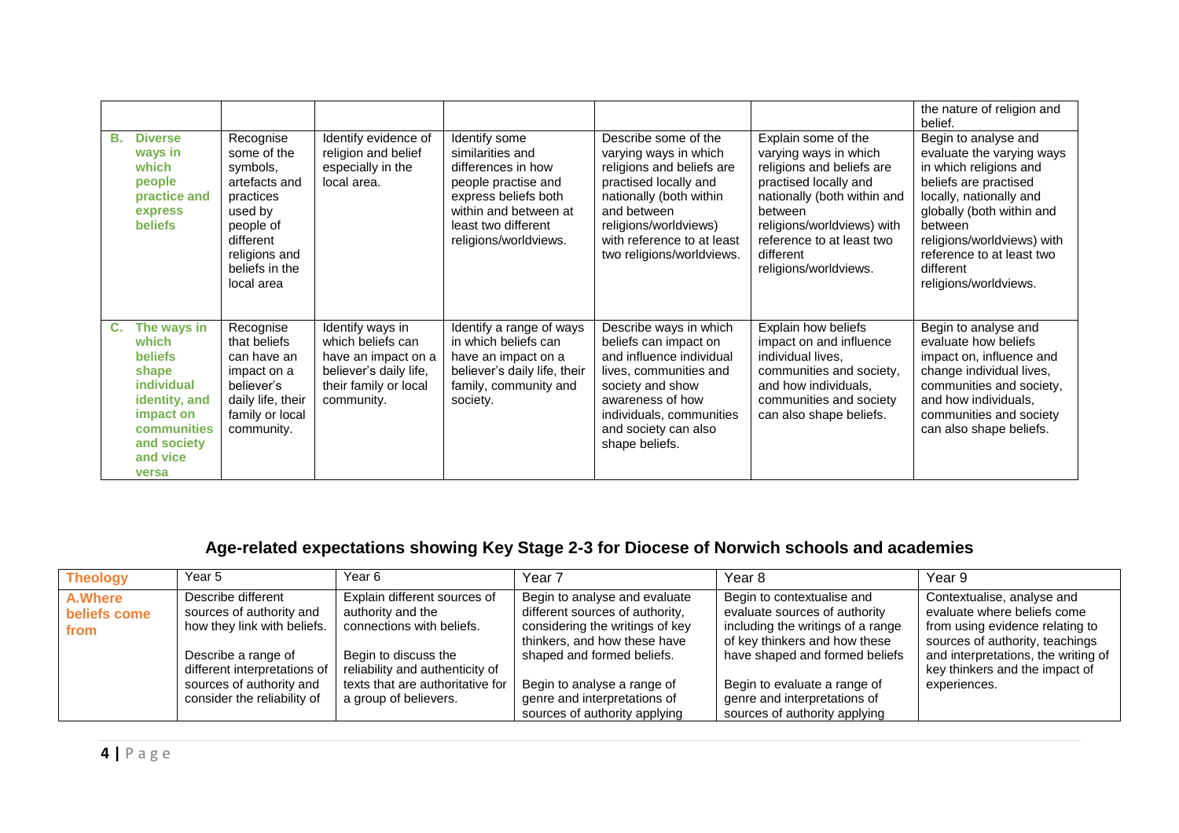|                                                                                                                                                             |                                                                                                                                                          |                                                                                                                               |                                                                                                                                                                                 |                                                                                                                                                                                                                                   |                                                                                                                                                                                                                                               | the nature of religion and<br>belief.                                                                                                                                                                                                                                    |
|-------------------------------------------------------------------------------------------------------------------------------------------------------------|----------------------------------------------------------------------------------------------------------------------------------------------------------|-------------------------------------------------------------------------------------------------------------------------------|---------------------------------------------------------------------------------------------------------------------------------------------------------------------------------|-----------------------------------------------------------------------------------------------------------------------------------------------------------------------------------------------------------------------------------|-----------------------------------------------------------------------------------------------------------------------------------------------------------------------------------------------------------------------------------------------|--------------------------------------------------------------------------------------------------------------------------------------------------------------------------------------------------------------------------------------------------------------------------|
| <b>Diverse</b><br>В.<br>ways in<br>which<br>people<br>practice and<br>express<br><b>beliefs</b>                                                             | Recognise<br>some of the<br>symbols,<br>artefacts and<br>practices<br>used by<br>people of<br>different<br>religions and<br>beliefs in the<br>local area | Identify evidence of<br>religion and belief<br>especially in the<br>local area.                                               | Identify some<br>similarities and<br>differences in how<br>people practise and<br>express beliefs both<br>within and between at<br>least two different<br>religions/worldviews. | Describe some of the<br>varying ways in which<br>religions and beliefs are<br>practised locally and<br>nationally (both within<br>and between<br>religions/worldviews)<br>with reference to at least<br>two religions/worldviews. | Explain some of the<br>varying ways in which<br>religions and beliefs are<br>practised locally and<br>nationally (both within and<br>between<br>religions/worldviews) with<br>reference to at least two<br>different<br>religions/worldviews. | Begin to analyse and<br>evaluate the varying ways<br>in which religions and<br>beliefs are practised<br>locally, nationally and<br>globally (both within and<br>between<br>religions/worldviews) with<br>reference to at least two<br>different<br>religions/worldviews. |
| The ways in<br>C.<br>which<br><b>beliefs</b><br>shape<br><i>individual</i><br>identity, and<br>impact on<br>communities<br>and society<br>and vice<br>versa | Recognise<br>that beliefs<br>can have an<br>impact on a<br>believer's<br>daily life, their<br>family or local<br>community.                              | Identify ways in<br>which beliefs can<br>have an impact on a<br>believer's daily life,<br>their family or local<br>community. | Identify a range of ways<br>in which beliefs can<br>have an impact on a<br>believer's daily life, their<br>family, community and<br>society.                                    | Describe ways in which<br>beliefs can impact on<br>and influence individual<br>lives, communities and<br>society and show<br>awareness of how<br>individuals, communities<br>and society can also<br>shape beliefs.               | Explain how beliefs<br>impact on and influence<br>individual lives,<br>communities and society,<br>and how individuals,<br>communities and society<br>can also shape beliefs.                                                                 | Begin to analyse and<br>evaluate how beliefs<br>impact on, influence and<br>change individual lives,<br>communities and society,<br>and how individuals,<br>communities and society<br>can also shape beliefs.                                                           |

## **Age-related expectations showing Key Stage 2-3 for Diocese of Norwich schools and academies**

| <b>Theology</b>                        | Year 5                                                                        | Year 6                                                                         | Year 7                                                                                                                              | Year 8                                                                                                                            | Year 9                                                                                                                          |
|----------------------------------------|-------------------------------------------------------------------------------|--------------------------------------------------------------------------------|-------------------------------------------------------------------------------------------------------------------------------------|-----------------------------------------------------------------------------------------------------------------------------------|---------------------------------------------------------------------------------------------------------------------------------|
| <b>A.Where</b><br>beliefs come<br>from | Describe different<br>sources of authority and<br>how they link with beliefs. | Explain different sources of<br>authority and the<br>connections with beliefs. | Begin to analyse and evaluate<br>different sources of authority,<br>considering the writings of key<br>thinkers, and how these have | Begin to contextualise and<br>evaluate sources of authority<br>including the writings of a range<br>of key thinkers and how these | Contextualise, analyse and<br>evaluate where beliefs come<br>from using evidence relating to<br>sources of authority, teachings |
|                                        | Describe a range of<br>different interpretations of                           | Begin to discuss the<br>reliability and authenticity of                        | shaped and formed beliefs.                                                                                                          | have shaped and formed beliefs                                                                                                    | and interpretations, the writing of<br>key thinkers and the impact of                                                           |
|                                        | sources of authority and<br>consider the reliability of                       | texts that are authoritative for<br>a group of believers.                      | Begin to analyse a range of<br>genre and interpretations of<br>sources of authority applying                                        | Begin to evaluate a range of<br>genre and interpretations of<br>sources of authority applying                                     | experiences.                                                                                                                    |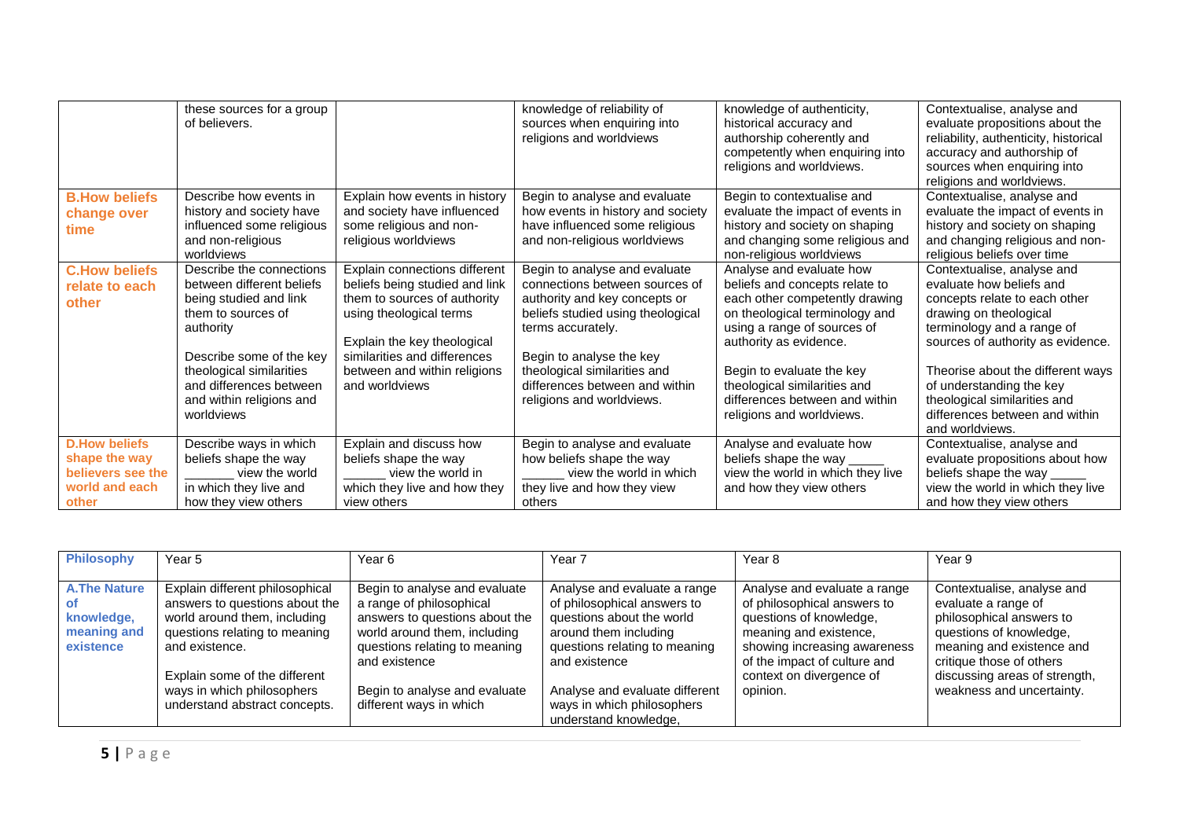|                                                                                       | these sources for a group<br>of believers.                                                                                                                                                                                                      |                                                                                                                                                                                                                                             | knowledge of reliability of<br>sources when enquiring into<br>religions and worldviews                                                                                                                                                                                                | knowledge of authenticity,<br>historical accuracy and<br>authorship coherently and<br>competently when enquiring into<br>religions and worldviews.                                                                                                                                                                  | Contextualise, analyse and<br>evaluate propositions about the<br>reliability, authenticity, historical<br>accuracy and authorship of<br>sources when enquiring into<br>religions and worldviews.                                                                                                                                           |
|---------------------------------------------------------------------------------------|-------------------------------------------------------------------------------------------------------------------------------------------------------------------------------------------------------------------------------------------------|---------------------------------------------------------------------------------------------------------------------------------------------------------------------------------------------------------------------------------------------|---------------------------------------------------------------------------------------------------------------------------------------------------------------------------------------------------------------------------------------------------------------------------------------|---------------------------------------------------------------------------------------------------------------------------------------------------------------------------------------------------------------------------------------------------------------------------------------------------------------------|--------------------------------------------------------------------------------------------------------------------------------------------------------------------------------------------------------------------------------------------------------------------------------------------------------------------------------------------|
| <b>B.How beliefs</b><br>change over<br>time                                           | Describe how events in<br>history and society have<br>influenced some religious<br>and non-religious<br>worldviews                                                                                                                              | Explain how events in history<br>and society have influenced<br>some religious and non-<br>religious worldviews                                                                                                                             | Begin to analyse and evaluate<br>how events in history and society<br>have influenced some religious<br>and non-religious worldviews                                                                                                                                                  | Begin to contextualise and<br>evaluate the impact of events in<br>history and society on shaping<br>and changing some religious and<br>non-religious worldviews                                                                                                                                                     | Contextualise, analyse and<br>evaluate the impact of events in<br>history and society on shaping<br>and changing religious and non-<br>religious beliefs over time                                                                                                                                                                         |
| <b>C.How beliefs</b><br>relate to each<br>other                                       | Describe the connections<br>between different beliefs<br>being studied and link<br>them to sources of<br>authority<br>Describe some of the key<br>theological similarities<br>and differences between<br>and within religions and<br>worldviews | Explain connections different<br>beliefs being studied and link<br>them to sources of authority<br>using theological terms<br>Explain the key theological<br>similarities and differences<br>between and within religions<br>and worldviews | Begin to analyse and evaluate<br>connections between sources of<br>authority and key concepts or<br>beliefs studied using theological<br>terms accurately.<br>Begin to analyse the key<br>theological similarities and<br>differences between and within<br>religions and worldviews. | Analyse and evaluate how<br>beliefs and concepts relate to<br>each other competently drawing<br>on theological terminology and<br>using a range of sources of<br>authority as evidence.<br>Begin to evaluate the key<br>theological similarities and<br>differences between and within<br>religions and worldviews. | Contextualise, analyse and<br>evaluate how beliefs and<br>concepts relate to each other<br>drawing on theological<br>terminology and a range of<br>sources of authority as evidence.<br>Theorise about the different ways<br>of understanding the key<br>theological similarities and<br>differences between and within<br>and worldviews. |
| <b>D.How beliefs</b><br>shape the way<br>believers see the<br>world and each<br>other | Describe ways in which<br>beliefs shape the way<br>view the world<br>in which they live and<br>how they view others                                                                                                                             | Explain and discuss how<br>beliefs shape the way<br>view the world in<br>which they live and how they<br>view others                                                                                                                        | Begin to analyse and evaluate<br>how beliefs shape the way<br>view the world in which<br>they live and how they view<br>others                                                                                                                                                        | Analyse and evaluate how<br>beliefs shape the way _<br>view the world in which they live<br>and how they view others                                                                                                                                                                                                | Contextualise, analyse and<br>evaluate propositions about how<br>beliefs shape the way _<br>view the world in which they live<br>and how they view others                                                                                                                                                                                  |

| <b>Philosophy</b>                                             | Year 5                                                                                                                                                                                                                                               | Year 6                                                                                                                                                                                                                                    | Year 7                                                                                                                                                                                                                                                       | Year 8                                                                                                                                                                                                                   | Year 9                                                                                                                                                                                                                          |
|---------------------------------------------------------------|------------------------------------------------------------------------------------------------------------------------------------------------------------------------------------------------------------------------------------------------------|-------------------------------------------------------------------------------------------------------------------------------------------------------------------------------------------------------------------------------------------|--------------------------------------------------------------------------------------------------------------------------------------------------------------------------------------------------------------------------------------------------------------|--------------------------------------------------------------------------------------------------------------------------------------------------------------------------------------------------------------------------|---------------------------------------------------------------------------------------------------------------------------------------------------------------------------------------------------------------------------------|
| <b>A.The Nature</b><br>knowledge,<br>meaning and<br>existence | Explain different philosophical<br>answers to questions about the<br>world around them, including<br>questions relating to meaning<br>and existence.<br>Explain some of the different<br>ways in which philosophers<br>understand abstract concepts. | Begin to analyse and evaluate<br>a range of philosophical<br>answers to questions about the<br>world around them, including<br>questions relating to meaning<br>and existence<br>Begin to analyse and evaluate<br>different ways in which | Analyse and evaluate a range<br>of philosophical answers to<br>questions about the world<br>around them including<br>questions relating to meaning<br>and existence<br>Analyse and evaluate different<br>ways in which philosophers<br>understand knowledge, | Analyse and evaluate a range<br>of philosophical answers to<br>questions of knowledge,<br>meaning and existence.<br>showing increasing awareness<br>of the impact of culture and<br>context on divergence of<br>opinion. | Contextualise, analyse and<br>evaluate a range of<br>philosophical answers to<br>questions of knowledge,<br>meaning and existence and<br>critique those of others<br>discussing areas of strength,<br>weakness and uncertainty. |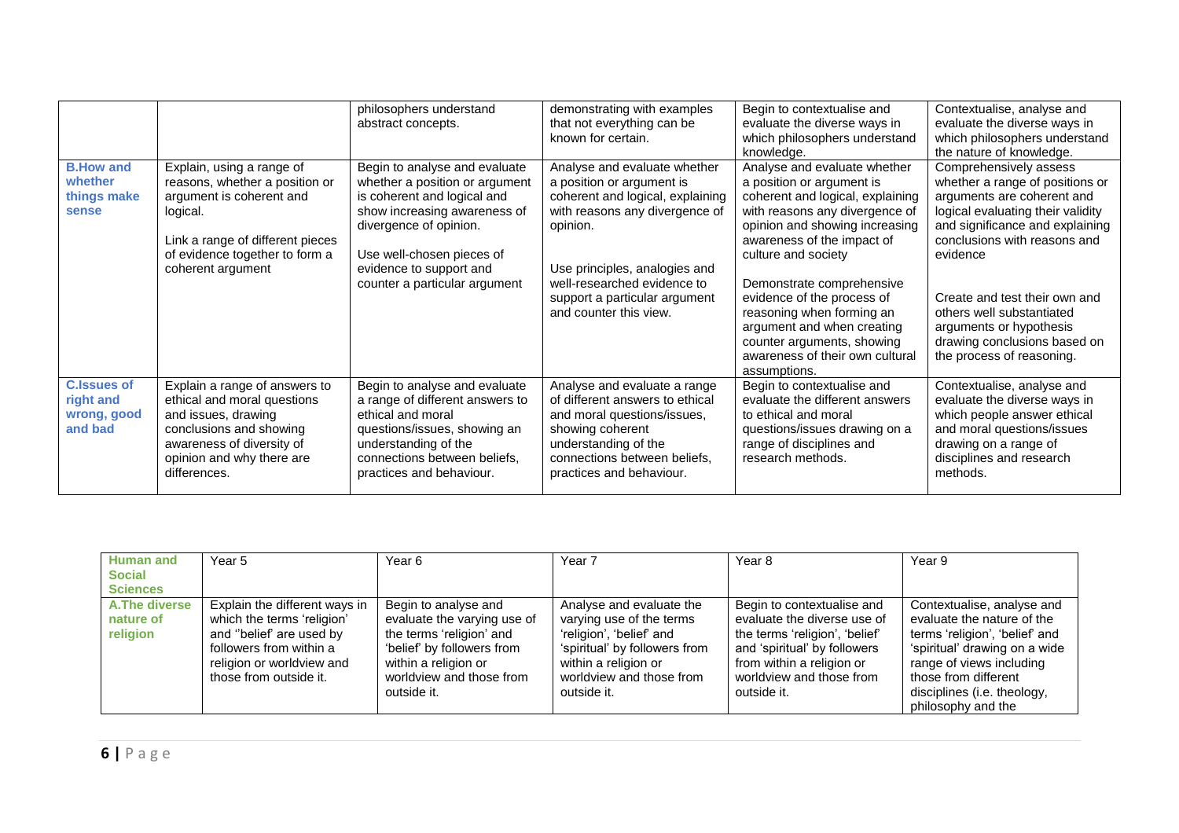|                                                           |                                                                                                                                                                                                | philosophers understand<br>abstract concepts.                                                                                                                                                                                                     | demonstrating with examples<br>that not everything can be<br>known for certain.                                                                                                                                                                                        | Begin to contextualise and<br>evaluate the diverse ways in<br>which philosophers understand<br>knowledge.                                                                                                                                                                                                                                                                                                                     | Contextualise, analyse and<br>evaluate the diverse ways in<br>which philosophers understand<br>the nature of knowledge.                                                                                                                                                                                                                                           |
|-----------------------------------------------------------|------------------------------------------------------------------------------------------------------------------------------------------------------------------------------------------------|---------------------------------------------------------------------------------------------------------------------------------------------------------------------------------------------------------------------------------------------------|------------------------------------------------------------------------------------------------------------------------------------------------------------------------------------------------------------------------------------------------------------------------|-------------------------------------------------------------------------------------------------------------------------------------------------------------------------------------------------------------------------------------------------------------------------------------------------------------------------------------------------------------------------------------------------------------------------------|-------------------------------------------------------------------------------------------------------------------------------------------------------------------------------------------------------------------------------------------------------------------------------------------------------------------------------------------------------------------|
| <b>B.How and</b><br>whether<br>things make<br>sense       | Explain, using a range of<br>reasons, whether a position or<br>argument is coherent and<br>logical.<br>Link a range of different pieces<br>of evidence together to form a<br>coherent argument | Begin to analyse and evaluate<br>whether a position or argument<br>is coherent and logical and<br>show increasing awareness of<br>divergence of opinion.<br>Use well-chosen pieces of<br>evidence to support and<br>counter a particular argument | Analyse and evaluate whether<br>a position or argument is<br>coherent and logical, explaining<br>with reasons any divergence of<br>opinion.<br>Use principles, analogies and<br>well-researched evidence to<br>support a particular argument<br>and counter this view. | Analyse and evaluate whether<br>a position or argument is<br>coherent and logical, explaining<br>with reasons any divergence of<br>opinion and showing increasing<br>awareness of the impact of<br>culture and society<br>Demonstrate comprehensive<br>evidence of the process of<br>reasoning when forming an<br>argument and when creating<br>counter arguments, showing<br>awareness of their own cultural<br>assumptions. | Comprehensively assess<br>whether a range of positions or<br>arguments are coherent and<br>logical evaluating their validity<br>and significance and explaining<br>conclusions with reasons and<br>evidence<br>Create and test their own and<br>others well substantiated<br>arguments or hypothesis<br>drawing conclusions based on<br>the process of reasoning. |
| <b>C.Issues of</b><br>right and<br>wrong, good<br>and bad | Explain a range of answers to<br>ethical and moral questions<br>and issues, drawing<br>conclusions and showing<br>awareness of diversity of<br>opinion and why there are<br>differences.       | Begin to analyse and evaluate<br>a range of different answers to<br>ethical and moral<br>questions/issues, showing an<br>understanding of the<br>connections between beliefs,<br>practices and behaviour.                                         | Analyse and evaluate a range<br>of different answers to ethical<br>and moral questions/issues,<br>showing coherent<br>understanding of the<br>connections between beliefs,<br>practices and behaviour.                                                                 | Begin to contextualise and<br>evaluate the different answers<br>to ethical and moral<br>questions/issues drawing on a<br>range of disciplines and<br>research methods.                                                                                                                                                                                                                                                        | Contextualise, analyse and<br>evaluate the diverse ways in<br>which people answer ethical<br>and moral questions/issues<br>drawing on a range of<br>disciplines and research<br>methods.                                                                                                                                                                          |

| <b>Human and</b>     | Year 5                        | Year 6                      | Year 7                        | Year 8                         | Year 9                         |
|----------------------|-------------------------------|-----------------------------|-------------------------------|--------------------------------|--------------------------------|
| <b>Social</b>        |                               |                             |                               |                                |                                |
| <b>Sciences</b>      |                               |                             |                               |                                |                                |
| <b>A.The diverse</b> | Explain the different ways in | Begin to analyse and        | Analyse and evaluate the      | Begin to contextualise and     | Contextualise, analyse and     |
| nature of            | which the terms 'religion'    | evaluate the varying use of | varying use of the terms      | evaluate the diverse use of    | evaluate the nature of the     |
| religion             | and "belief' are used by      | the terms 'religion' and    | 'religion', 'belief' and      | the terms 'religion', 'belief' | terms 'religion', 'belief' and |
|                      | followers from within a       | 'belief' by followers from  | 'spiritual' by followers from | and 'spiritual' by followers   | 'spiritual' drawing on a wide  |
|                      | religion or worldview and     | within a religion or        | within a religion or          | from within a religion or      | range of views including       |
|                      | those from outside it.        | worldview and those from    | worldview and those from      | worldview and those from       | those from different           |
|                      |                               | outside it.                 | outside it.                   | outside it.                    | disciplines (i.e. theology,    |
|                      |                               |                             |                               |                                | philosophy and the             |